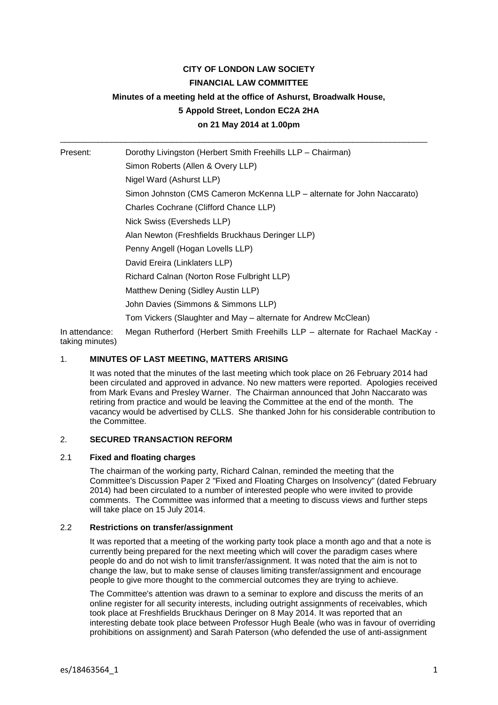# **CITY OF LONDON LAW SOCIETY**

## **FINANCIAL LAW COMMITTEE**

# **Minutes of a meeting held at the office of Ashurst, Broadwalk House,**

# **5 Appold Street, London EC2A 2HA**

**on 21 May 2014 at 1.00pm**

\_\_\_\_\_\_\_\_\_\_\_\_\_\_\_\_\_\_\_\_\_\_\_\_\_\_\_\_\_\_\_\_\_\_\_\_\_\_\_\_\_\_\_\_\_\_\_\_\_\_\_\_\_\_\_\_\_\_\_\_\_\_\_\_\_\_\_\_\_\_\_\_\_\_\_\_\_\_\_

Present: Dorothy Livingston (Herbert Smith Freehills LLP – Chairman) Simon Roberts (Allen & Overy LLP) Nigel Ward (Ashurst LLP) Simon Johnston (CMS Cameron McKenna LLP – alternate for John Naccarato) Charles Cochrane (Clifford Chance LLP) Nick Swiss (Eversheds LLP) Alan Newton (Freshfields Bruckhaus Deringer LLP) Penny Angell (Hogan Lovells LLP) David Ereira (Linklaters LLP) Richard Calnan (Norton Rose Fulbright LLP) Matthew Dening (Sidley Austin LLP) John Davies (Simmons & Simmons LLP) Tom Vickers (Slaughter and May – alternate for Andrew McClean)

In attendance: Megan Rutherford (Herbert Smith Freehills LLP – alternate for Rachael MacKay taking minutes)

# 1. **MINUTES OF LAST MEETING, MATTERS ARISING**

It was noted that the minutes of the last meeting which took place on 26 February 2014 had been circulated and approved in advance. No new matters were reported. Apologies received from Mark Evans and Presley Warner. The Chairman announced that John Naccarato was retiring from practice and would be leaving the Committee at the end of the month. The vacancy would be advertised by CLLS. She thanked John for his considerable contribution to the Committee.

### 2. **SECURED TRANSACTION REFORM**

### 2.1 **Fixed and floating charges**

The chairman of the working party, Richard Calnan, reminded the meeting that the Committee's Discussion Paper 2 "Fixed and Floating Charges on Insolvency" (dated February 2014) had been circulated to a number of interested people who were invited to provide comments. The Committee was informed that a meeting to discuss views and further steps will take place on 15 July 2014.

### 2.2 **Restrictions on transfer/assignment**

It was reported that a meeting of the working party took place a month ago and that a note is currently being prepared for the next meeting which will cover the paradigm cases where people do and do not wish to limit transfer/assignment. It was noted that the aim is not to change the law, but to make sense of clauses limiting transfer/assignment and encourage people to give more thought to the commercial outcomes they are trying to achieve.

The Committee's attention was drawn to a seminar to explore and discuss the merits of an online register for all security interests, including outright assignments of receivables, which took place at Freshfields Bruckhaus Deringer on 8 May 2014. It was reported that an interesting debate took place between Professor Hugh Beale (who was in favour of overriding prohibitions on assignment) and Sarah Paterson (who defended the use of anti-assignment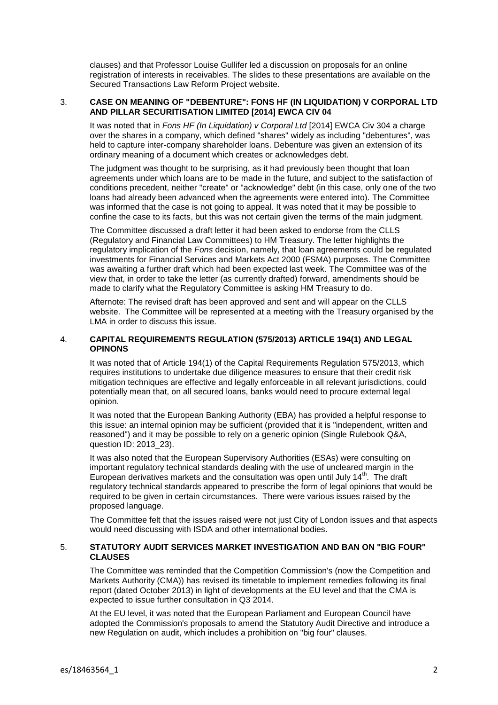clauses) and that Professor Louise Gullifer led a discussion on proposals for an online registration of interests in receivables. The slides to these presentations are available on the Secured Transactions Law Reform Project website.

### 3. **CASE ON MEANING OF "DEBENTURE": FONS HF (IN LIQUIDATION) V CORPORAL LTD AND PILLAR SECURITISATION LIMITED [2014] EWCA CIV 04**

It was noted that in *Fons HF (In Liquidation) v Corporal Ltd* [2014] EWCA Civ 304 a charge over the shares in a company, which defined "shares" widely as including "debentures", was held to capture inter-company shareholder loans. Debenture was given an extension of its ordinary meaning of a document which creates or acknowledges debt.

The judgment was thought to be surprising, as it had previously been thought that loan agreements under which loans are to be made in the future, and subject to the satisfaction of conditions precedent, neither "create" or "acknowledge" debt (in this case, only one of the two loans had already been advanced when the agreements were entered into). The Committee was informed that the case is not going to appeal. It was noted that it may be possible to confine the case to its facts, but this was not certain given the terms of the main judgment.

The Committee discussed a draft letter it had been asked to endorse from the CLLS (Regulatory and Financial Law Committees) to HM Treasury. The letter highlights the regulatory implication of the *Fons* decision, namely, that loan agreements could be regulated investments for Financial Services and Markets Act 2000 (FSMA) purposes. The Committee was awaiting a further draft which had been expected last week. The Committee was of the view that, in order to take the letter (as currently drafted) forward, amendments should be made to clarify what the Regulatory Committee is asking HM Treasury to do.

Afternote: The revised draft has been approved and sent and will appear on the CLLS website. The Committee will be represented at a meeting with the Treasury organised by the LMA in order to discuss this issue.

# 4. **CAPITAL REQUIREMENTS REGULATION (575/2013) ARTICLE 194(1) AND LEGAL OPINONS**

It was noted that of Article 194(1) of the Capital Requirements Regulation 575/2013, which requires institutions to undertake due diligence measures to ensure that their credit risk mitigation techniques are effective and legally enforceable in all relevant jurisdictions, could potentially mean that, on all secured loans, banks would need to procure external legal opinion.

It was noted that the European Banking Authority (EBA) has provided a helpful response to this issue: an internal opinion may be sufficient (provided that it is "independent, written and reasoned") and it may be possible to rely on a generic opinion (Single Rulebook Q&A, question ID: 2013\_23).

It was also noted that the European Supervisory Authorities (ESAs) were consulting on important regulatory technical standards dealing with the use of uncleared margin in the European derivatives markets and the consultation was open until July  $14<sup>th</sup>$ . The draft regulatory technical standards appeared to prescribe the form of legal opinions that would be required to be given in certain circumstances. There were various issues raised by the proposed language.

The Committee felt that the issues raised were not just City of London issues and that aspects would need discussing with ISDA and other international bodies.

# 5. **STATUTORY AUDIT SERVICES MARKET INVESTIGATION AND BAN ON "BIG FOUR" CLAUSES**

The Committee was reminded that the Competition Commission's (now the Competition and Markets Authority (CMA)) has revised its timetable to implement remedies following its final report (dated October 2013) in light of developments at the EU level and that the CMA is expected to issue further consultation in Q3 2014.

At the EU level, it was noted that the European Parliament and European Council have adopted the Commission's proposals to amend the Statutory Audit Directive and introduce a new Regulation on audit, which includes a prohibition on "big four" clauses.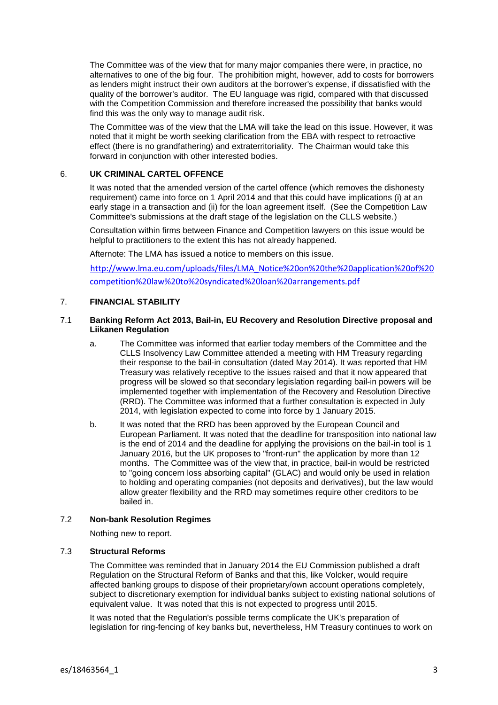The Committee was of the view that for many major companies there were, in practice, no alternatives to one of the big four. The prohibition might, however, add to costs for borrowers as lenders might instruct their own auditors at the borrower's expense, if dissatisfied with the quality of the borrower's auditor. The EU language was rigid, compared with that discussed with the Competition Commission and therefore increased the possibility that banks would find this was the only way to manage audit risk.

The Committee was of the view that the LMA will take the lead on this issue. However, it was noted that it might be worth seeking clarification from the EBA with respect to retroactive effect (there is no grandfathering) and extraterritoriality. The Chairman would take this forward in conjunction with other interested bodies.

# 6. **UK CRIMINAL CARTEL OFFENCE**

It was noted that the amended version of the cartel offence (which removes the dishonesty requirement) came into force on 1 April 2014 and that this could have implications (i) at an early stage in a transaction and (ii) for the loan agreement itself. (See the Competition Law Committee's submissions at the draft stage of the legislation on the CLLS website.)

Consultation within firms between Finance and Competition lawyers on this issue would be helpful to practitioners to the extent this has not already happened.

Afternote: The LMA has issued a notice to members on this issue.

[http://www.lma.eu.com/uploads/files/LMA\\_Notice%20on%20the%20application%20of%20](http://www.lma.eu.com/uploads/files/LMA_Notice%20on%20the%20application%20of%20competition%20law%20to%20syndicated%20loan%20arrangements.pdf) [competition%20law%20to%20syndicated%20loan%20arrangements.pdf](http://www.lma.eu.com/uploads/files/LMA_Notice%20on%20the%20application%20of%20competition%20law%20to%20syndicated%20loan%20arrangements.pdf)

# 7. **FINANCIAL STABILITY**

## 7.1 **Banking Reform Act 2013, Bail-in, EU Recovery and Resolution Directive proposal and Liikanen Regulation**

- a. The Committee was informed that earlier today members of the Committee and the CLLS Insolvency Law Committee attended a meeting with HM Treasury regarding their response to the bail-in consultation (dated May 2014). It was reported that HM Treasury was relatively receptive to the issues raised and that it now appeared that progress will be slowed so that secondary legislation regarding bail-in powers will be implemented together with implementation of the Recovery and Resolution Directive (RRD). The Committee was informed that a further consultation is expected in July 2014, with legislation expected to come into force by 1 January 2015.
- b. It was noted that the RRD has been approved by the European Council and European Parliament. It was noted that the deadline for transposition into national law is the end of 2014 and the deadline for applying the provisions on the bail-in tool is 1 January 2016, but the UK proposes to "front-run" the application by more than 12 months. The Committee was of the view that, in practice, bail-in would be restricted to "going concern loss absorbing capital" (GLAC) and would only be used in relation to holding and operating companies (not deposits and derivatives), but the law would allow greater flexibility and the RRD may sometimes require other creditors to be bailed in.

### 7.2 **Non-bank Resolution Regimes**

Nothing new to report.

### 7.3 **Structural Reforms**

The Committee was reminded that in January 2014 the EU Commission published a draft Regulation on the Structural Reform of Banks and that this, like Volcker, would require affected banking groups to dispose of their proprietary/own account operations completely, subject to discretionary exemption for individual banks subject to existing national solutions of equivalent value. It was noted that this is not expected to progress until 2015.

It was noted that the Regulation's possible terms complicate the UK's preparation of legislation for ring-fencing of key banks but, nevertheless, HM Treasury continues to work on